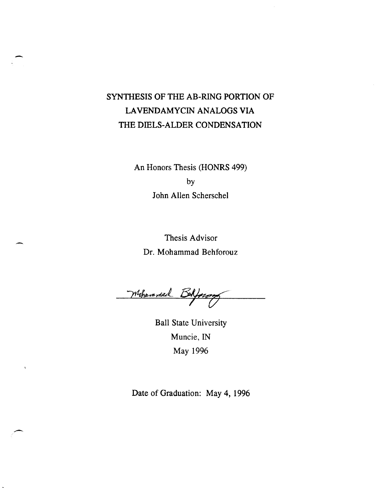## SYNTHESIS OF THE AB-RING PORTION OF LA VENDAMYCIN ANALOGS VIA THE DIELS-ALDER CONDENSATION

 $\overline{a}$ 

An Honors Thesis (HONRS 499) by John Allen Scherschel

Thesis Advisor Dr. Mohammad Behforouz

Mohammal Belfourn

Ball State University Muncie, IN May 1996

Date of Graduation: May 4, 1996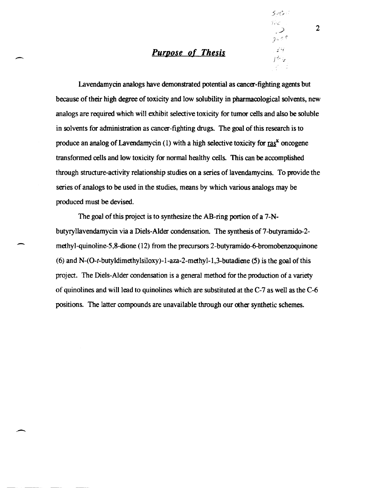## Purpose of Thesis

-

-

. -

Lavendamycin analogs have demonstrated potential as cancer-fighting agents but because of their high degree of toxicity and low solubility in pharmacological solvents, new analogs are required which will exhibit selective toxicity for tumor cells and also be soluble in solvents for administration as cancer-fighting drugs. The goal of this research is to produce an analog of Lavendamycin (1) with a high selective toxicity for  $\text{ras}^k$  oncogene transformed cells and low toxicity for normal healthy cells. This can be accomplished through structure-activity relationship studies on a series of lavendamycins. To provide the series of analogs to be used in the studies, means by which various analogs may be produced must be devised.

The goal of this project is to synthesize the AB-ring portion of a 7-Nbutyryllavendamycin via a Diels-Alder condensation. The synthesis of 7-butyramido-2methyl-quinoline-5,8-dione (12) from the precursors 2-butyramido-6-bromobenzoquinone (6) and N- $(O-t$ -butyldimethylsiloxy)-1-aza-2-methyl-1,3-butadiene (5) is the goal of this project. The Diels-Alder condensation is a general method for the production of a variety of quinolines and will lead to quinolines which are substituted at the C-7 as well as the C-6 positions. The latter compounds are unavailable through our other synthetic schemes.

 $\sim$  2

c:' 'L

 $25 < 0$  $\mathcal{L}'$ J~:. '.I'

la d

 $500$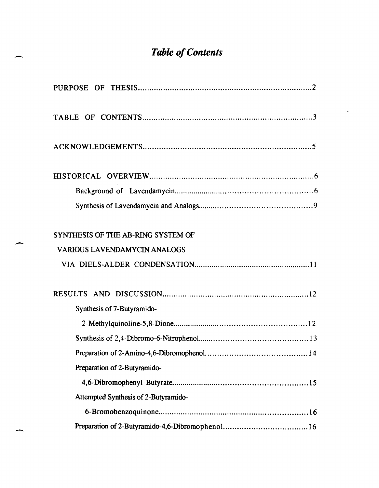## *Table of Contents*

-

-

-

| SYNTHESIS OF THE AB-RING SYSTEM OF   |
|--------------------------------------|
| <b>VARIOUS LAVENDAMYCIN ANALOGS</b>  |
|                                      |
|                                      |
| Synthesis of 7-Butyramido-           |
|                                      |
|                                      |
|                                      |
| Preparation of 2-Butyramido-         |
|                                      |
| Attempted Synthesis of 2-Butyramido- |
|                                      |
|                                      |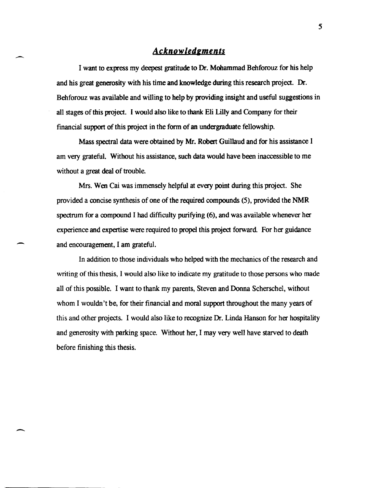### *Acknowledrments*

I want to express my deepest gratitude to Dr. Mohammad Behforouz for his help and his great generosity with his time and knowledge dming this research project. Dr. Behforouz was available and willing to help by providing insight and useful suggestions in all stages of this project. I would also like to thank Eli Lilly and Company for their financial support of this project in the form of an undergraduate fellowship.

Mass spectral data were obtained by Mr. Robert Guillaud and for his assistance I am very grateful. Without his assistance, such data would have been inaccessible to me without a great deal of trouble.

Mrs. Wen Cai was immensely helpful at every point during this project. She provided a concise synthesis of one of the required compounds (5), provided the NMR spectrum for a compound I had difficulty purifying (6), and was available whenever her experience and expertise were required to propel this project forward. For her guidance and encouragement, I am grateful.

-

 $\overline{\phantom{0}}$ 

In addition to those individuals who helped with the mechanics of the research and writing of this thesis, I would also like to indicate my gratitude to those persons who made all of this possible. I want to thank my parents, Steven and Donna Scherschel, without whom I wouldn't be, for their financial and moral support throughout the many years of this and other projects. I would also like to recognize Dr. Linda Hanson for her hospitality and generosity with parking space. Without her, I may very well have starved to death before finishing this thesis.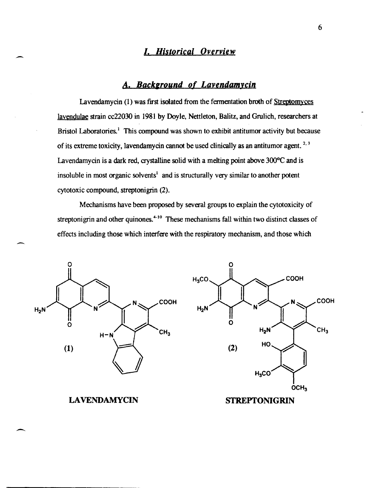## *I, Historical Overview*

## A, *Background of Lavendanucin*

Lavendamycin (1) was first isolated from the fermentation broth of Streptomyces lavendulae strain cc22030 in 1981 by Doyle, Nettleton, Balitz, and Grulich, researchers at Bristol Laboratories.<sup>1</sup> This compound was shown to exhibit antitumor activity but because of its extreme toxicity, lavendamycin cannot be used clinically as an antitumor agent.<sup>2,3</sup> Lavendamycin is a dark red, crystalline solid with a melting point above 300°C and is insoluble in most organic solvents<sup>1</sup> and is structurally very similar to another potent cytotoxic compound, streptonigrin (2).

Mechanisms have been proposed by several groups to explain the cytotoxicity of streptonigrin and other quinones.<sup>4-10</sup> These mechanisms fall within two distinct classes of effects including those which interfere with the respiratory mechanism, and those which



#### **LAVENDAMYCIN**

 $\overline{\phantom{0}}$ 

-

--

STREPTONIGRIN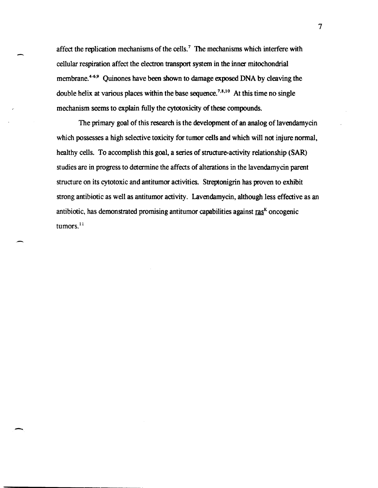affect the replication mechanisms of the cells.<sup>7</sup> The mechanisms which interfere with cellular respiration affect the electron transport system in the inner mitochondrial membrane.<sup>4-6,9</sup> Quinones have been shown to damage exposed DNA by cleaving the double helix at various places within the base sequence.<sup>7,8,10</sup> At this time no single mechanism seems to explain fully the cytotoxicity of these compounds.

The primary goal of this research is the development of an analog of lavendamycin which possesses a high selective toxicity for tumor cells and which will not injure normal, healthy cells. To accomplish this goal, a series of structure-activity relationship (SAR) studies are in progress to determine the affects of alterations in the lavendamycin parent structure on its cytotoxic and antitumor activities. Streptonigrin has proven to exhibit strong antibiotic as well as antitumor activity. Lavendamycin, although less effective as an antibiotic, has demonstrated promising antitumor capabilities against  $\text{ras}^{\kappa}$  oncogenic tumors.<sup>11</sup>

-

7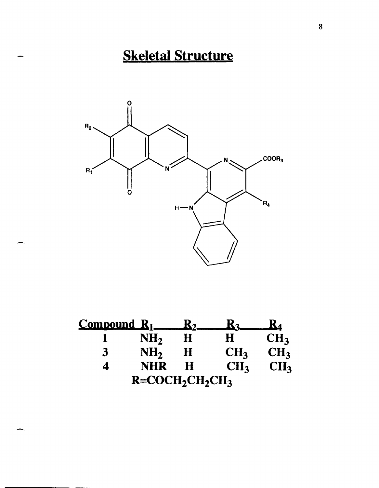# Skeletal Structure



| $Combound$ $R_1$ |                   | $\mathbf{K}_{2}$ |                 | <u>K4</u>       |
|------------------|-------------------|------------------|-----------------|-----------------|
|                  | NH <sub>2</sub>   | Η                | H               | CH <sub>3</sub> |
| 3                | NH <sub>2</sub>   | Η                | CH <sub>3</sub> | CH <sub>3</sub> |
|                  | <b>NHR</b>        | H                | CH <sub>3</sub> | CH <sub>3</sub> |
|                  | $R = COCH2CH2CH3$ |                  |                 |                 |

-.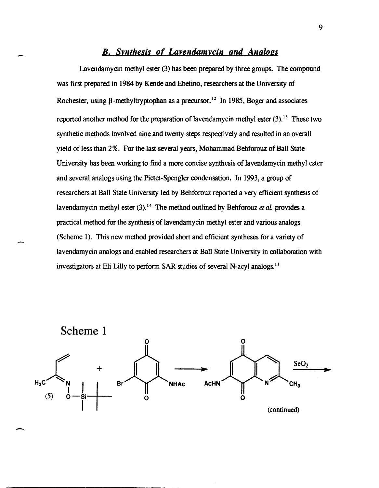#### *B. Synthesis of Lavendamycin and Analogs*

Lavendamycin methyl ester (3) has been prepared by three groups. The compound was first prepared in 1984 by Kende and Ebetino, researchers at the University of Rochester, using  $\beta$ -methyltryptophan as a precursor.<sup>12</sup> In 1985, Boger and associates reported another method for the preparation of lavendamycin methyl ester  $(3)$ .<sup>13</sup> These two synthetic methods involved nine and twenty steps respectively and resulted in an overall yield of less than 2%. For the last several years, Mohammad Behforouz of Ball State University has been working to find a more concise synthesis of lavendamycin methyl ester and several analogs using the Pictet-Spengler condensation. In 1993, a group of researchers at Ball State University led by Behforouz reported a very efficient synthesis of lavendamycin methyl ester (3).14 The method outlined by Behforouz *et* aL provides a practical method for the synthesis of lavendamycin methyl ester and various analogs (Scheme 1). This new method provided short and efficient syntheses for a variety of lavendamycin analogs and enabled researchers at Ball State University in collaboration with investigators at Eli Lilly to perform SAR studies of several N-acyl analogs.<sup>11</sup>



-.

9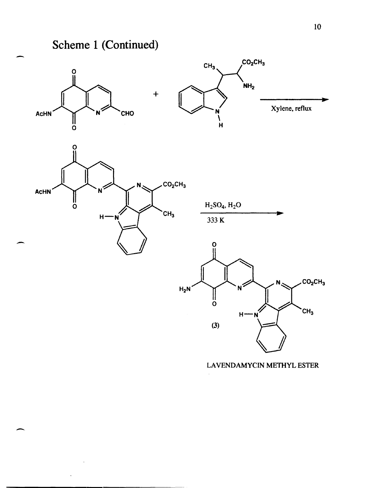## Scheme 1 (Continued)



 $CO<sub>2</sub>CH<sub>3</sub>$  $CH<sub>3</sub>$  $H$  $(3)$ 

#### LAVENDAMYCIN METHYL ESTER

Xylene, reflux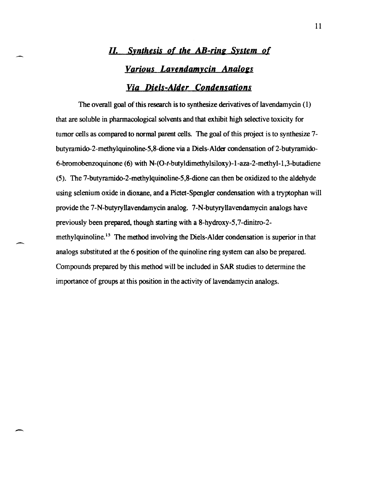## *II.* Synthesis of the AB-ring System of *Various Lavendamycin Analogs Via Diels-Alder Condensations*

The overall goal of this research is to synthesize derivatives of lavendamycin (1) that are soluble in pharmacological solvents and that exhibit high selective toxicity for tumor cells as compared to normal parent cells. The goal of this project is to synthesize 7 butyramido-2-methylquinoline-5,8-dione via a Diels-Alder condensation of 2-butyramido-6-bromobenzoquinone (6) with N-(O-t-butyldimethylsiloxy )-1-aza-2-methyl-1 ,3-butadiene (5). The 7-butyramido-2-methylquinoline-5,8-dione can then be oxidized to the aldehyde using selenium oxide in dioxane, and a Pictet-Spengler condensation with a tryptophan will provide the 7-N-butyryllavendamycin analog. 7-N-butyryllavendamycin analogs have previously been prepared, though starting with a 8-hydroxy-5,7-dinitro-2 methylquinoline.<sup>15</sup> The method involving the Diels-Alder condensation is superior in that analogs substituted at the 6 position of the quinoline ring system can also be prepared. Compounds prepared by this method will be included in SAR studies to determine the importance of groups at this position in the activity of lavendamycin analogs.

-.

-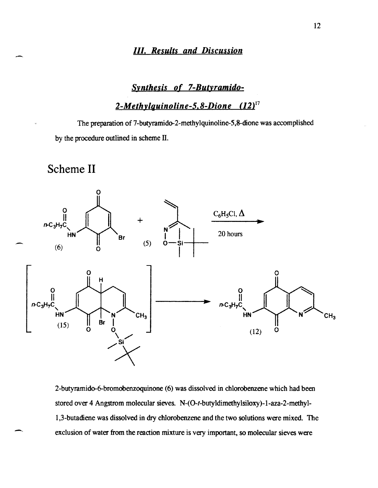### *111. Results and Discussion*

### *SYnthesis of 7-Butyramido-*

*2-Methylguinoline-5.8-Dione (12)17* 

The preparation of 7-butyramido-2-methylquinoline-5,8-dione was accomplished by the procedure outlined in scheme II.

Scheme II

-



2-butyramido-6-bromobenzoquinone (6) was dissolved in chlorobenzene which had been stored over 4 Angstrom molecular sieves. N-(O-t-butyldimethylsiloxy)-I-aza-2-methyl-1 ,3-butadiene was dissolved in dry chlorobenzene and the two solutions were mixed. The exclusion of water from the reaction mixture is very important, so molecular sieves were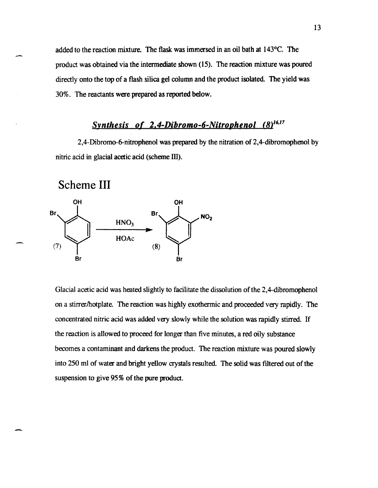added to the reaction mixture. The flask was immersed in an oil bath at 143°C. The product was obtained via the intermediate shown (15). The reaction mixture was poured directly onto the top of a flash silica gel column and the product isolated. The yield was 30%. The reactants were prepared as reported below.

## *Synthesis of 2.4-Dibromo-6-Nitrophenol (8)16,17*

2,4-Dibromo-6-nitrophenol was prepared by the nitration of 2,4-dibromophenol by nitric acid in glacial acetic acid (scheme III).

Scheme **III** 



Glacial acetic acid was heated slightly to facilitate the dissolution of the 2,4-dibromophenol on a stirrer/hotplate. The reaction was highly exothermic and proceeded very rapidly. The concentrated nitric acid was added very slowly while the solution was rapidly stirred. If the reaction is allowed to proceed for longer than five minutes, a red oily substance becomes a contaminant and darkens the product. The reaction mixture was poured slowly into 250 ml of water and bright yellow crystals resulted. The solid was filtered out of the suspension to give 95% of the pure product.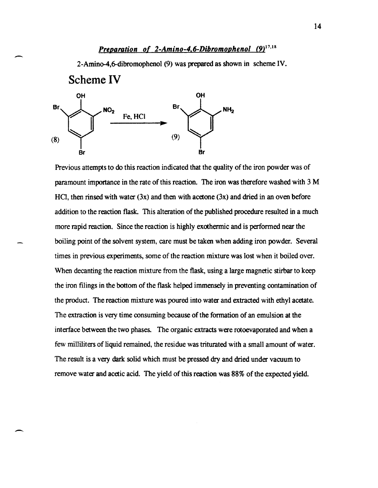## *Preparation of 2-Amino-4.6-Dibromophenol (9)<sup>17,18</sup>*

2-Amin0-4,6-dibromopheno1 (9) was prepared as shown in scheme IV.



-

-

Previous attempts to do this reaction indicated that the quality of the iron powder was of paramount importance in the rate of this reaction. The iron was therefore washed with 3 M HCl, then rinsed with water  $(3x)$  and then with acetone  $(3x)$  and dried in an oven before addition to the reaction flask. This alteration of the published procedure resulted in a much more rapid reaction. Since the reaction is highly exothermic and is performed near the boiling point of the solvent system, care must be taken when adding iron powder. Several times in previous experiments, some of the reaction mixture was lost when it boiled over. When decanting the reaction mixture from the flask, using a large magnetic stirbar to keep the iron filings in the bottom of the flask helped immensely in preventing contamination of the product. The reaction mixture was poured into water and extracted with ethyl acetate. The extraction is very time consuming because of the formation of an emulsion at the interface between the two phases. The organic extracts were rotoevaporated and when a few milliliters of liquid remained, the residue was triturated with a small amount of water. The result is a very dark solid which must be pressed dry and dried under vacuum to remove water and acetic acid. The yield of this reaction was 88% of the expected yield.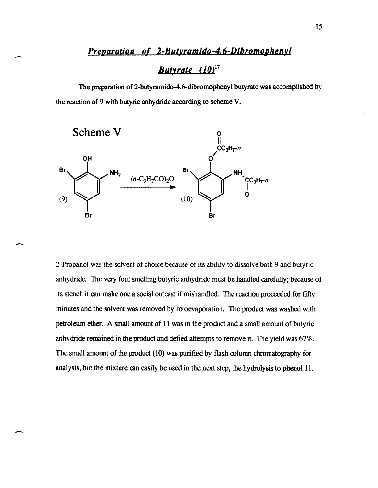### *Preparation of 2-Butyramido-4,6-Dibromophenyl*

## *Butyrate (10)17*

The preparation of 2-butyramido-4,6-dibromophenyl butyrate was accomplished by the reaction of 9 with butyric anhydride according to scheme V.



-

-

2-Propanol was the solvent of choice because of its ability to dissolve both 9 and butyric anhydride. The very foul smelling butyric anhydride must be handled carefully; because of its stench it can make one a social outcast if mishandled. The reaction proceeded for fifty minutes and the solvent was removed by rotoevaporation. The product was washed with petroleum ether. A small amount of 11 was in the product and a small amount of butyric anhydride remained in the product and defied attempts to remove it. The yield was 67%. The small amount of the product (10) was purified by flash column chromatography for analysis, but the mixture can easily be used in the next step, the hydrolysis to phenol 11.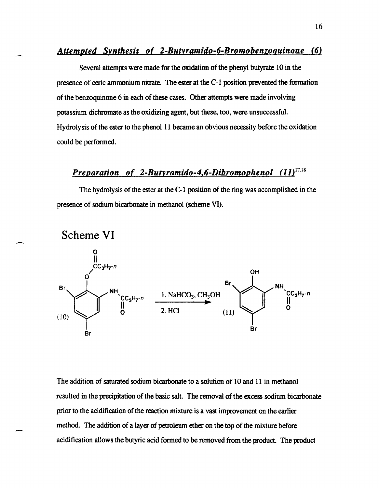#### *Attemoted Synthesis of 2-Butyramido-6-Bromobenzoguinone (6)*

Several attempts were made for the oxidation of the phenyl butyrate 10 in the presence of eeric ammonium nitrate. The ester at the C-l position prevented the formation of the benzoquinone 6 in each of these cases. Other attempts were made involving potassium dichromate as the oxidizing agent, but these, too, were unsuccessful. Hydrolysis of the ester to the phenol II became an obvious necessity before the oxidation could be performed.

## Preparation of 2-Butyramido-4,6-Dibromophenol (11)<sup>17,18</sup>

The hydrolysis of the ester at the C-l position of the ring was accomplished in the presence of sodium bicarbonate in methanol (scheme VI).



~-



The addition of saturated sodium bicarbonate to a solution of 10 and 11 in methanol resulted in the precipitation of the basic salt. The removal of the excess sodium bicarbonate prior to the acidification of the reaction mixture is a vast improvement on the earlier method. The addition of a layer of petroleum ether on the top of the mixture before acidification allows the butyric acid formed to be removed from the product. The product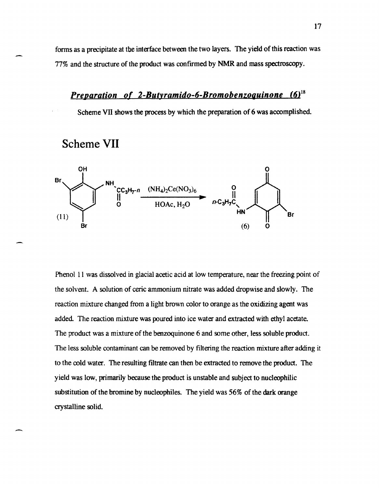forms as a precipitate at tbe interface between the two layers. The yield of this reaction was 77% and the structure of the product was confIrmed by NMR and mass spectroscopy.

## **Preparation of 2-Butyramido-6-Bromobenzoguinone (6)**<sup>18</sup>

Scheme VII shows the process by which the preparation of 6 was accomplished.





Phenol 11 was dissolved in glacial acetic acid at low temperature, near the freezing point of the solvent. A solution of eeric ammonium nitrate was added dropwise and slowly. The reaction mixture changed from a light brown color to orange as the oxidizing agent was added. The reaction mixture was poured into ice water and extracted with ethyl acetate. The product was a mixture of the benzoquinone 6 and some other, less soluble product. The less soluble contaminant can be removed by fIltering the reaction mixture after adding it to the cold water. The resulting fIltrate can then be extracted to remove the product. The yield was low, primarily because the product is unstable and subject to nucleophilic substitution of the bromine by nucleophiles. The yield was 56% of the dark orange crystalline solid.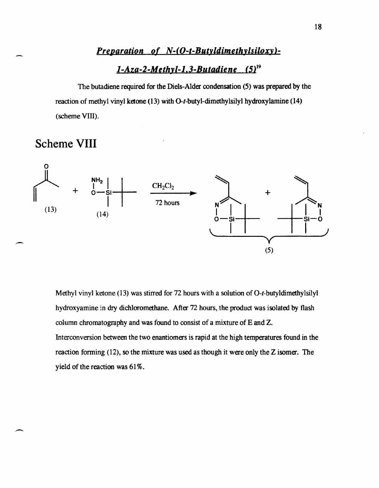### *Preparation of N-(O-t-Butyldimethylsiloxy)-*

## *l-Aza-2-Methyl-l, 3-Butadie oe* (5)19

The butadiene required for the Diels-Alder condensation (5) was prepared by the reaction of methyl vinyl ketone (13) with O-t-butyl-dimethylsilyl hydroxylamine (14) (scheme VIII).

## Scheme **VIII**



Methyl vinyl ketone (13) was stirred for 72 hours with a solution of O-t-butyldimethylsilyl hydroxyamine in dry dichloromethane. After 72 hours, the product was isolated by flash column chromatography and was found to consist of a mixture of E and Z. Interconversion between the two enantiomers is rapid at the high temperatures found in the reaction fonning (12), so the mixture was used as though it were only the Z isomer. The yield of the reaction was 61%.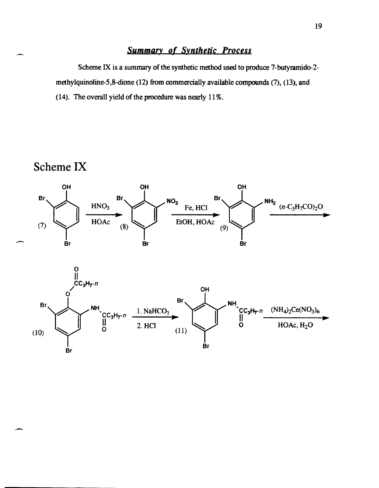## Summary of Synthetic Process

Scheme IX is a summary of the synthetic method used to produce 7-butyramido-2 methylquinoline-5,8-dione (12) from commercially available compounds (7), (13), and (14). The overall yield of the procedure was nearly 11 %.

## Scheme IX



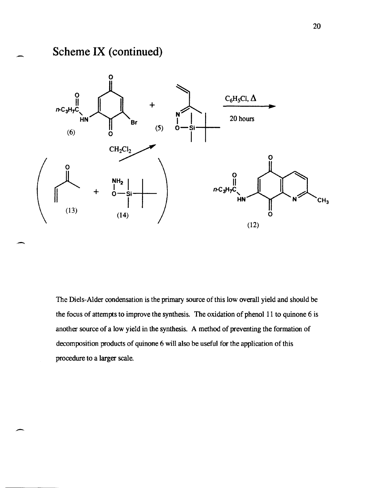## **Scheme IX (continued)**

-

--



The Diels-Alder condensation is the primary source of this low overall yield and should be the focus of attempts to improve the synthesis. The oxidation of phenol 11 to quinone 6 is another source of a low yield in the synthesis. A method of preventing the formation of decomposition products of quinone 6 will also be useful for the application of this procedure to a larger scale.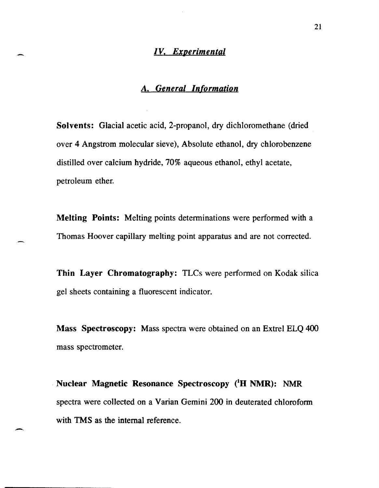### *IV. Experimental*

### *A. General Information*

Solvents: Glacial acetic acid, 2-propanol, dry dichloromethane (dried over 4 Angstrom molecular sieve), Absolute ethanol, dry chlorobenzene distilled over calcium hydride, 70% aqueous ethanol, ethyl acetate, petroleum ether.

Melting Points: Melting points determinations were performed with a Thomas Hoover capillary melting point apparatus and are not corrected.

Thin Layer Chromatography: TLCs were performed on Kodak silica gel sheets containing a fluorescent indicator.

Mass Spectroscopy: Mass spectra were obtained on an Extrel ELQ 400 mass spectrometer.

Nuclear Magnetic Resonance Spectroscopy (<sup>1</sup>H NMR): NMR spectra were collected on a Varian Gemini 200 in deuterated chloroform with TMS as the internal reference.

--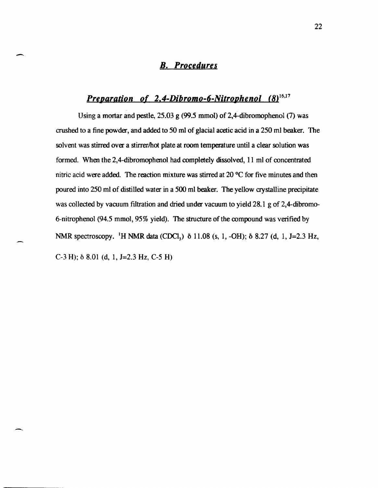## *B. Procedures*

-

-,

## *Preparation of 2,4-Dibromo-6-Nitrophenol (8)<sup>16,17</sup>*

Using a mortar and pestle, 25.03 g (99.5 mmol) of 2,4-dibromophenol (7) was crushed to a fine powder, and added to 50 ml of glacial acetic acid in a 250 ml beaker. The solvent was stirred over a stirrer/hot plate at room temperature until a clear solution was formed. When the 2,4-dibromophenol had completely dissolved, II ml of concentrated nitric acid were added. The reaction mixture was stirred at  $20^{\circ}$ C for five minutes and then poured into 250 ml of distilled water in a 500 ml beaker. The yellow crystalline precipitate was collected by vacuum filtration and dried under vacuum to yield 28.1 g of 2,4-dibromo-6-nitrophenol (94.5 mmol, 95% yield). The structure of the compound was verified by NMR spectroscopy. <sup>1</sup>H NMR data (CDCl<sub>3</sub>)  $\delta$  11.08 (s, 1, -OH);  $\delta$  8.27 (d, 1, J=2.3 Hz, C-3 H); *δ* 8.01 (d, 1, J=2.3 Hz, C-5 H)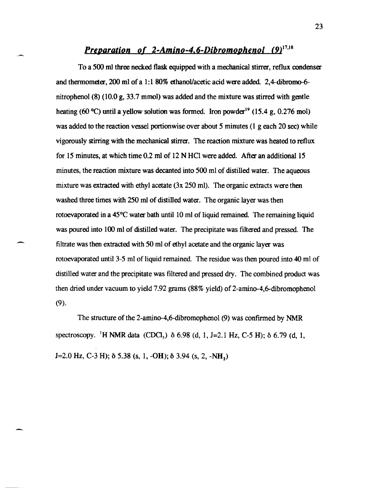## *Preparation of 2-Amino-4.6-Dibromophenol* (9)<sup>17,18</sup>

To a 500 ml three necked flask equipped with a mechanical stirrer, reflux condenser and thermometer, 200 ml of a 1:1 80% ethanol/acetic acid were added. 2,4-dibromo-6nitrophenol (8) (10.0 g, 33.7 mmol) was added and the mixture was stirred with gentle heating (60 °C) until a yellow solution was formed. Iron powder<sup>19</sup> (15.4 g, 0.276 mol) was added to the reaction vessel portionwise over about 5 minutes (1 g each 20 sec) while vigorously stirring with the mechanical stirrer. The reaction mixture was heated to reflux for 15 minutes, at which time 0.2 ml of 12 N HCI were added. After an additional 15 minutes, the reaction mixture was decanted into 500 ml of distilled water. The aqueous mixture was extracted with ethyl acetate (3x 250 ml). The organic extracts were then washed three times with 250 ml of distilled water. The organic layer was then rotoevaporated in a 45°C water bath until 10 ml of liquid remained. The remaining liquid was poured into 100 ml of distilled water. The precipitate was filtered and pressed. The filtrate was then extracted with 50 ml of ethyl acetate and the organic layer was rotoevaporated until 3-5 ml of liquid remained. The residue was then poured into 40 ml of distilled water and the precipitate was fIltered and pressed dry. The combined product was then dried under vacuum to yield 7.92 grams (88% yield) of 2-amino-4,6-dibromophenol (9).

The structure of the 2-amino-4,6-dibromophenol (9) was confirmed by NMR spectroscopy. <sup>1</sup>H NMR data (CDCl<sub>3</sub>)  $\delta$  6.98 (d, 1, J=2.1 Hz, C-5 H);  $\delta$  6.79 (d, 1,  $J=2.0$  Hz, C-3 H);  $\delta$  5.38 (s, 1, -OH);  $\delta$  3.94 (s, 2, -NH<sub>2</sub>)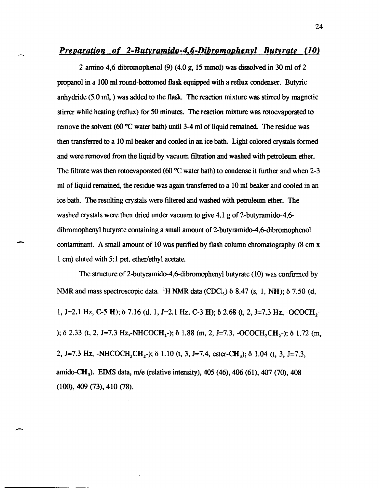#### *<u>Preparation of 2-Butyramido-4.6-Dibromophenvl Butyrate (10)</u>*

2-amin0-4,6-dibromophenol (9) (4.0 g, 15 mmol) was dissolved in 30 m1 of 2 propanol in a 100 ml round-bottomed flask equipped with a reflux condenser. Butyric anhydride (5.0 ml, ) was added to the flask. The reaction mixture was stirred by magnetic stirrer while heating (reflux) for 50 minutes. The reaction mixture was rotoevaporated to remove the solvent (60  $\degree$ C water bath) until 3-4 ml of liquid remained. The residue was then transferred to a 10 ml beaker and cooled in an ice bath. Light colored crystals formed and were removed from the liquid by vacuum filtration and washed with petroleum ether. The filtrate was then rotoevaporated (60  $^{\circ}$ C water bath) to condense it further and when 2-3 m1 of liquid remained, the residue was again transferred to a 10 ml beaker and cooled in an ice bath. The resulting crystals were ftltered and washed with petroleum ether. The washed crystals were then dried under vacuum to give  $4.1$  g of 2-butyramido-4,6dibromophenyl butyrate containing a small amount of 2-butyramido-4,6-dibromophenol contaminant. A small amount of 10 was purified by flash column chromatography (8 cm x 1 cm) eluted with 5:1 pet. ether/ethyl acetate.

-

-

The structure of 2-butyramido-4,6-dibromophenyl butyrate (10) was confrrmed by NMR and mass spectroscopic data. <sup>1</sup>H NMR data (CDCI<sub>3</sub>)  $\delta$  8.47 (s, 1, NH);  $\delta$  7.50 (d, 1, J=2.1 Hz, C-5 H);  $\delta$  7.16 (d, 1, J=2.1 Hz, C-3 H);  $\delta$  2.68 (t, 2, J=7.3 Hz, -OCOCH,-);  $\delta$  2.33 (t, 2, J=7.3 Hz,-NHCOCH<sub>2</sub>-);  $\delta$  1.88 (m, 2, J=7.3, -OCOCH<sub>2</sub>CH<sub>2</sub>-);  $\delta$  1.72 (m, 2, J=7.3 Hz, -NHCOCH<sub>2</sub>CH<sub>2</sub>-);  $\delta$  1.10 (t, 3, J=7.4, ester-CH<sub>3</sub>);  $\delta$  1.04 (t, 3, J=7.3, amido-CH). ElMS data, *mle* (relative intensity), 405 (46), 406 (61), 407 (70), 408 (100), 409 (73), 410 (78).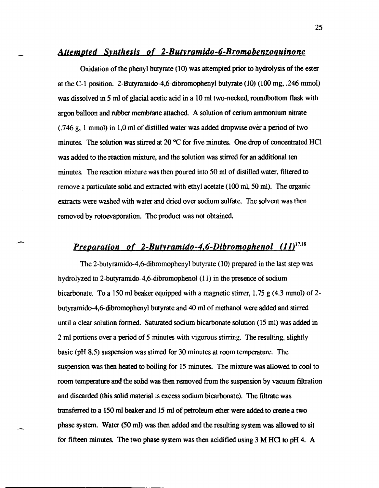#### Attempted Synthesis of 2-Butyramido-6-Bromobenzoquinone

Oxidation of the phenyl butyrate (10) was attempted prior to hydrolysis of the *ester*  at the C-1 position. 2-Butyramido-4,6-dibromophenyl butyrate (10) (100 mg, .246 mmol) was dissolved in 5 ml of glacial acetic acid in a 10 ml two-necked, roundbottom flask with argon balloon and rubber membrane attached. A solution of cerium ammonium nitrate (.746 g, 1 mmol) in 1,0 ml of distilled water was added dropwise over a period of two minutes. The solution was stirred at 20 °C for five minutes. One drop of concentrated HCl was added to the reaction mixture, and the solution was stirred for an additional ten minutes. The reaction mixture was then poured into 50 ml of distilled *water,* filtered to remove a particulate solid and extracted with ethyl acetate (100 mI, 50 ml). The organic extracts were washed with *water* and dried over sodium sulfate. The solvent was then removed by rotoevaporation. The product was not obtained.

## Preparation of 2-Butyramido-4,6-Dibromophenol (11)<sup>17,18</sup>

--

The 2-hutyramido-4,6-dibromophenyl butyrate (10) prepared in the last step was hydrolyzed to 2-butyramido-4,6-dibromophenol (11) in the presence of sodium bicarbonate. To a 150 ml beaker equipped with a magnetic stirrer, 1.75 g (4.3 mmol) of 2 butyramido-4,6-dibromophenyl butyrate and 40 ml of methanol were added and stirred until a clear solution formed. Saturated sodium bicarbonate solution (15 ml) was added in 2 ml portions over a period of 5 minutes with vigorous stirring. The resulting, slightly basic (pH 8.5) suspension was stirred for 30 minutes at room temperature. The suspension was then heated to boiling for 15 minutes. The mixture was allowed to cool to room temperature and the solid was then removed from the suspension by vacuum filtration and discarded (this solid material is excess sodium bicarbonate). The filtrate was transferred to a 150 ml beaker and 15 ml of petroleum ether were added to create a two phase system. Water (50 ml) was then added and the resulting system was allowed to sit for fifteen minutes. The two phase system was then acidified using 3 M HCl to pH 4. A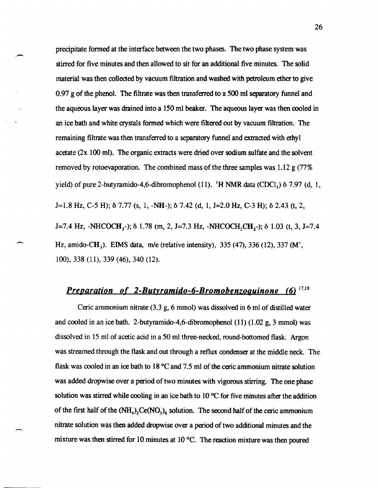precipitate formed at the interface between the two phases. The two phase system was stirred for five minutes and then allowed to sit for an additional five minutes. The solid material was then collected by vacuum filtration and washed with petroleum ether to give 0.97 g of the phenol. The filtrate was then transferred to a 500 ml separatory funnel and the aqueous layer was drained into a 150 ml beaker. The aqueous layer was then cooled in an ice bath and white crystals formed which were filtered out by vacuum fIltration. The remaining filtrate was then transferred to a separatory funnel and extracted with ethyl acetate (2x 100 mI). The organic extracts were dried over sodium sulfate and the solvent removed by rotoevaporation. The combined mass of the three samples was  $1.12 \text{ g} (77\%$ yield) of pure 2-butyramido-4,6-dibromophenol (11). <sup>1</sup>H NMR data (CDCl<sub>3</sub>)  $\delta$  7.97 (d, 1, J=1.8 Hz, C-5 H); b 7.77 (s, 1, -NH-); b 7.42 (d, 1, J=2.0 Hz, C-3 H); b 2.43 (t, 2, J=7.4 Hz, -NHCOCH<sub>2</sub>-);  $\delta$  1.78 (m, 2, J=7.3 Hz, -NHCOCH<sub>2</sub>CH<sub>2</sub>-);  $\delta$  1.03 (t, 3, J=7.4 Hz, amido-CH<sub>3</sub>). EIMS data, m/e (relative intensity),  $335 (47)$ ,  $336 (12)$ ,  $337 (M<sup>+</sup>)$ , 100), 338 (11), 339 (46), 340 (12).

## *Preparation of 2-Butvramido-6-Bromobenzoguinone* (6) 17,18

Ceric ammonium nitrate (3.3 g, 6 mmol) was dissolved in 6 ml of distilled water and cooled in an ice bath. 2-butyramido-4,6-dibromophenol (11) (1.02 g, 3 mmol) was dissolved in 15 ml of acetic acid in a 50 mI three-necked, round-bottomed flask. Argon was streamed through the flask and out through a reflux condenser at the middle neck. The flask was cooled in an ice bath to 18°C and 7.5 mI of the eeric ammonium nitrate solution was added dropwise over a period of two minutes with vigorous stirring. The one phase solution was stirred while cooling in an ice bath to 10 °C for five minutes after the addition of the first half of the  $(NH_4)_2$ Ce(NO<sub>3</sub>)<sub>6</sub> solution. The second half of the ceric ammonium nitrate solution was then added dropwise over a period of two additional minutes and the mixture was then stirred for 10 minutes at 10°C. The reaction mixture was then poured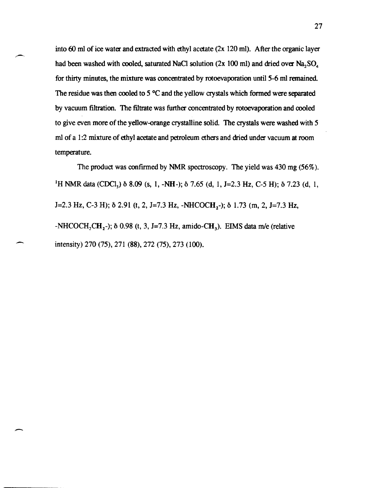into 60 ml of ice water and extracted with ethyl acetate (2x 120 ml). After the organic layer had been washed with cooled, saturated NaCl solution (2x 100 ml) and dried over  $Na, SO<sub>4</sub>$ for thirty minutes, the mixture was concentrated by rotoevaporation until 5-6 ml remained. The residue was then cooled to  $5^{\circ}$ C and the yellow crystals which formed were separated by vacuum filtration. The filtrate was further concentrated by rotoevaporation and cooled to give even more of the yellow-orange crystalline solid. The crystals were washed with 5 ml of a 1:2 mixture of ethyl acetate and petroleum ethers and dried under vacuum at room temperature.

The product was confirmed by NMR spectroscopy. The yield was 430 mg (56%). <sup>1</sup>H NMR data (CDCl<sub>3</sub>)  $\delta$  8.09 (s, 1, -NH-);  $\delta$  7.65 (d, 1, J=2.3 Hz, C-5 H);  $\delta$  7.23 (d, 1,  $J=2.3$  Hz, C-3 H);  $\delta$  2.91 (t, 2, J=7.3 Hz, -NHCOCH<sub>2</sub>-);  $\delta$  1.73 (m, 2, J=7.3 Hz,  $-NHCOCH_2CH_2$ -);  $\delta$  0.98 (t, 3, J=7.3 Hz, amido-CH<sub>3</sub>). EIMS data m/e (relative intensity) 270 (75),271 (88),272 (75),273 (100).

-

--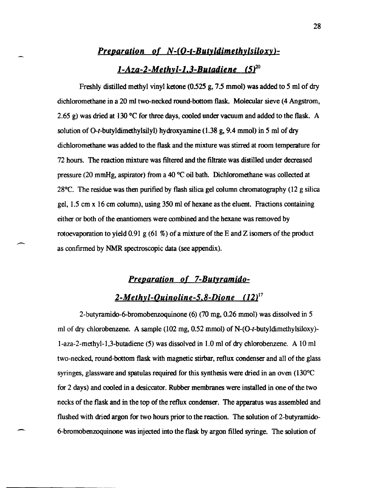## *Preparation of N-(O-t-Butyldimethylsiloxy)l-Aza-2-Methyl-l.3-Butadiene (5)20*

Freshly distilled methyl vinyl ketone (0.525 g, 7.5 mmol) was added to 5 ml of dry dichloromethane in a 20 ml two-necked round-bottom flask. Molecular sieve (4 Angstrom, 2.65 g) was dried at 130 °C for three days, cooled under vacuum and added to the flask. A solution of O-t-butyldimethylsilyl) hydroxyamine (1.38 g, 9.4 mmol) in 5 ml of dry dichloromethane was added to the flask and the mixture was stirred at room temperature for 72 hours. The reaction mixture was filtered and the filtrate was distilled under decreased pressure (20 mmHg, aspirator) from a 40 °C oil bath. Dichloromethane was collected at 28°C. The residue was then purified by flash silica gel column chromatography (12 g silica gel, 1.5 cm x 16 cm column), using 350 ml of hexane as the eluent. Fractions containing either or both of the enantiomers were combined and the hexane was removed by rotoevaporation to yield 0.91 g (61 %) of a mixture of the E and Z isomers of the product as confrrmed by NMR spectroscopic data (see appendix).

## **Preparation of 7-Butyramido-**2-Methyl-Quinoline-5,8-Dione  $(12)^{17}$

2-butyramido-6-bromobenzoquinone (6) (70 mg, 0.26 mmol) was dissolved in 5 ml of dry chlorobenzene. A sample (102 mg, 0.52 mmol) of N-(O-t-butyldimethylsiloxy) l-aza-2-methyl-l,3-butadiene (5) was dissolved in 1.0 ml of dry chlorobenzene. A 10 ml two-necked, round-bottom flask with magnetic stirbar, reflux condenser and all of the glass syringes, glassware and spatulas required for this synthesis were dried in an oven (130°C) for 2 days) and cooled in a desiccator. Rubber membranes were installed in one of the two necks of the flask and in the top of the reflux condenser. The apparatus was assembled and flushed with dried argon for two hours prior to the reaction. The solution of 2-butyramido-6-bromobenzoquinone was injected into the flask by argon filled syringe. The solution of

-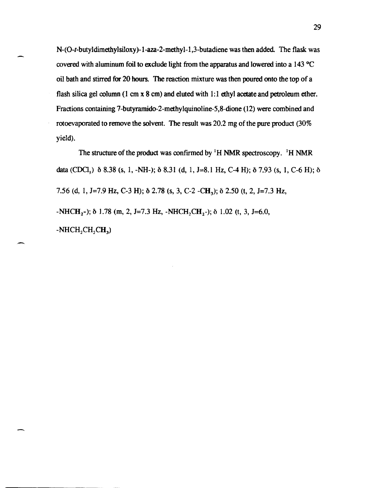N-(O-t-butyldimethylsiloxy)-I-aza-2-methyl-I,3-butadiene was then added. The flask was covered with aluminum foil to exclude light from the apparatus and lowered into a 143°C oil bath and stirred for 20 hours. The reaction mixture was then poured onto the top of a flash silica gel column (1 cm  $x$  8 cm) and eluted with 1:1 ethyl acetate and petroleum ether. Fractions containing 7-butyramido-2-methylquinoline-5,8-dione (12) were combined and rotoevaporated to remove the solvent. The result was 20.2 mg of the pure product (30% yield).

The structure of the product was confirmed by  ${}^{1}$ H NMR spectroscopy.  ${}^{1}$ H NMR data (CDCl<sub>3</sub>)  $\delta$  8.38 (s, 1, -NH-);  $\delta$  8.31 (d, 1, J=8.1 Hz, C-4 H);  $\delta$  7.93 (s, 1, C-6 H);  $\delta$ 7.56 (d, 1, J=7.9 Hz, C-3 H);  $\delta$  2.78 (s, 3, C-2 -CH<sub>3</sub>);  $\delta$  2.50 (t, 2, J=7.3 Hz,  $-NHCH_2$ -);  $\delta$  1.78 (m, 2, J=7.3 Hz, -NHCH<sub>2</sub>CH<sub>2</sub>-);  $\delta$  1.02 (t, 3, J=6.0,  $-NHCH<sub>2</sub>CH<sub>2</sub>CH<sub>3</sub>$ 

 $\overline{\phantom{a}}$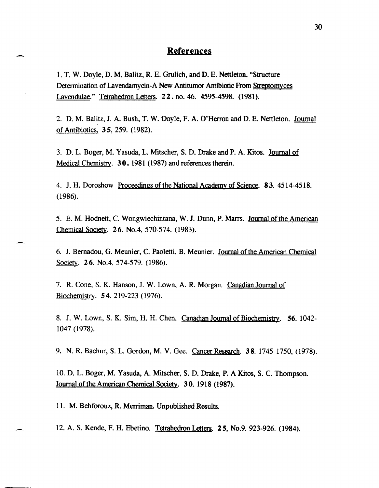#### .- **References**

1. T. W. Doyle, D. M. Balitz, R. E. Grolich, and D. E. Nettleton. "Structure Determination of Lavendamycin-A New Antitumor Antibiotic From Streptomyces Lavendulae." Tetrahedron Letters. 2 2. no. 46. 4595-4598. (1981).

2. D. M. Balitz, J. A. Bush, T. W. Doyle, F. A. O'Herron and D. E. Nettleton. Journal of Antibiotics. 35, 259. (1982).

3. D. L. Boger, M. Yasuda, L. Mitscher, S. D. Drake and P. A. Kitos. Journal of Medical Chemistry. 30. 1981 (1987) and references therein.

4. J. H. Doroshow Proceedings of the National Academy of Science. 83. 4514-4518. (1986).

5. E. M. Hodnett, C. Wongwiechintana, W. J. Dunn, P. Marrs. Journal of the American Chemical Society. 26. No.4, 570-574. (1983).

6. J. Bernadou, G. Meunier, C. Paoletti, B. Meunier. Journal of the American Chemical Society. **26.** No.4, 574-579. (1986).

7. R. Cone, S. K. Hanson, 1. W. Lown, A. R. Morgan. Canadian JOurnal of Biochemistry. 54. 219-223 (1976).

8. J. W. Lown, S. K. Sim, H. H. Chen. Canadian Journal of Biochemistry. 56, 1042-1047 (1978).

9. N. R. Bachur, S. L. Gordon, M. V. Gee. Cancer Research. 38.1745-1750, (1978).

10. D. L. Boger, M. Yasuda, A. Mitscher, S. D. Drake, P. A Kitos, S. C. Thompson. JOurnal of the American Chemical Society. 3 O. 1918 (1987).

11. M. Behforouz, R. Merriman. Unpublished Results.

12. A. S. Kende, F. H. Ebetino. Tetrahedron Letters. 25, No.9. 923-926. (1984).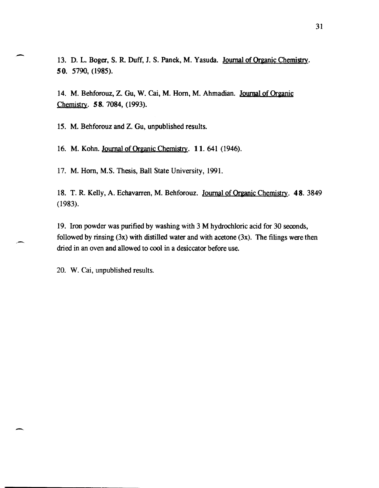13. D. L. Boger, S. R. Duff, J. S. Panek, M. Yasuda. Journal of Organic Chemistry. 50. 5790, (1985).

14. M. Behforouz, Z. Gu, W. Cai, M. Horn, M. Ahmadian. Journal of Organic Chemistry. 58. 7084, (1993).

IS. M. Behforouz and Z. Gu, unpublished results.

--

-

16. M. Kohn. Journal of Organic Chemistry. 11. 641 (1946).

17. M. Hom, M.S. Thesis, Ball State University, 1991.

18. T. R. Kelly, A. Echavarren, M. Behforouz. Journal of Organic Chemistry. 48. 3849 (1983).

19. Iron powder was purified by washing with 3 M hydrochloric acid for 30 seconds, followed by rinsing  $(3x)$  with distilled water and with acetone  $(3x)$ . The filings were then dried in an oven and allowed to cool in a desiccator before use.

20. W. Cai, unpublished results.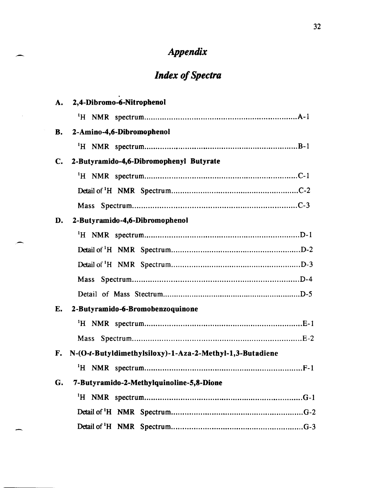## *Appendix*

# *Index of Spectra*

.

| A.        | 2,4-Dibromo-6-Nitrophenol                                |
|-----------|----------------------------------------------------------|
|           |                                                          |
| <b>B.</b> | 2-Amino-4,6-Dibromophenol                                |
|           |                                                          |
| C.        | 2-Butyramido-4,6-Dibromophenyl Butyrate                  |
|           |                                                          |
|           |                                                          |
|           | Mass                                                     |
| D.        | 2-Butyramido-4,6-Dibromophenol                           |
|           |                                                          |
|           |                                                          |
|           |                                                          |
|           |                                                          |
|           |                                                          |
| E.        | 2-Butyramido-6-Bromobenzoquinone                         |
|           |                                                          |
|           |                                                          |
| F.        | N-(O-t-Butyldimethylsiloxy)-1-Aza-2-Methyl-1,3-Butadiene |
|           |                                                          |
| G.        | 7-Butyramido-2-Methylquinoline-5,8-Dione                 |
|           |                                                          |
|           |                                                          |
|           |                                                          |

"-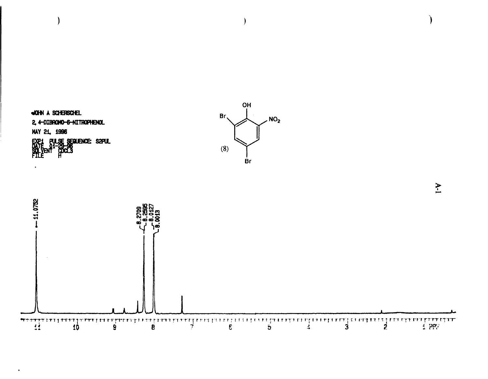

 $\rightarrow$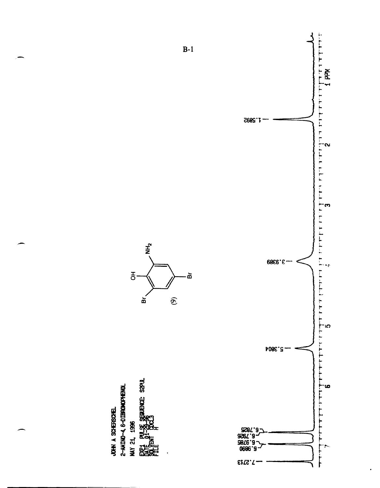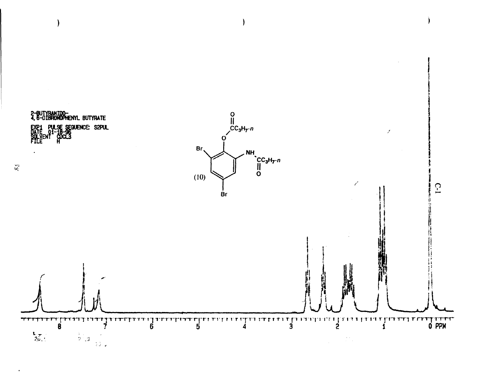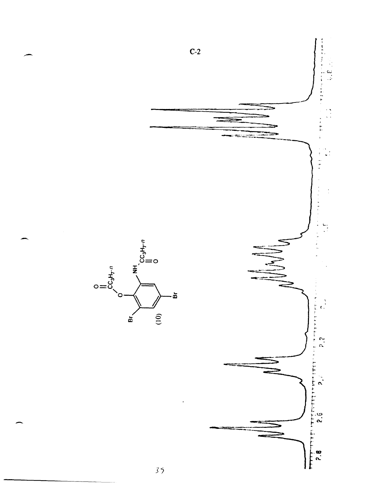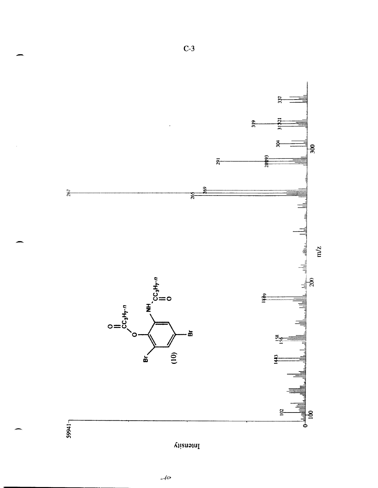

 $C-3$ 



 $10<sub>o</sub>$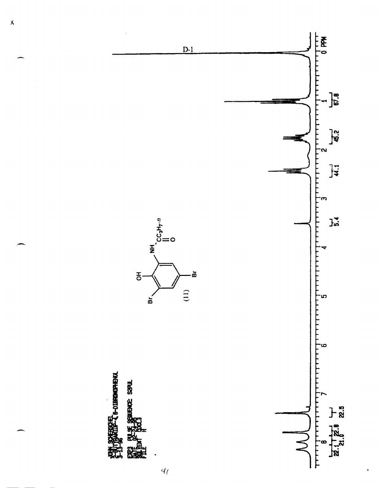

 $\overline{\mathbf{X}}$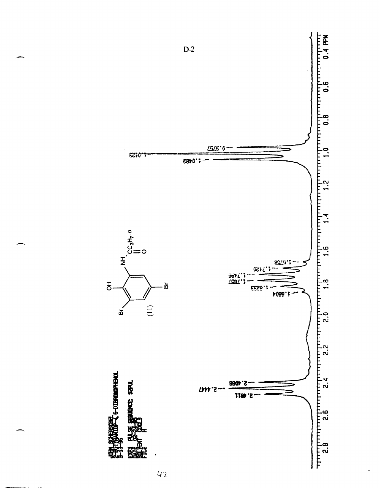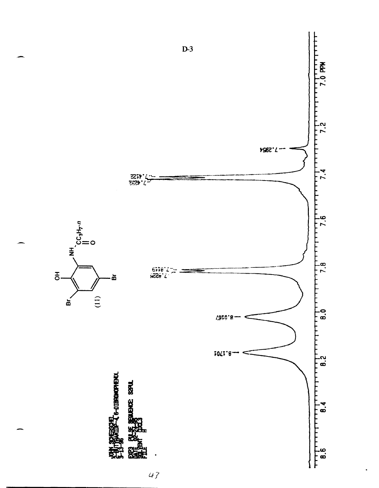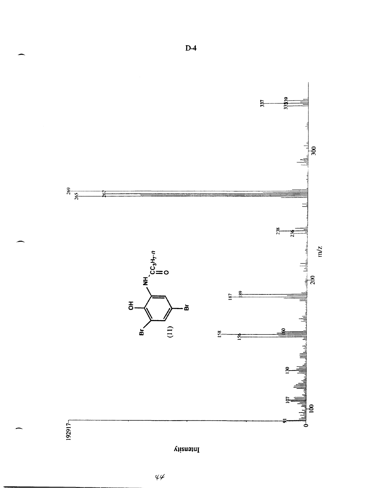

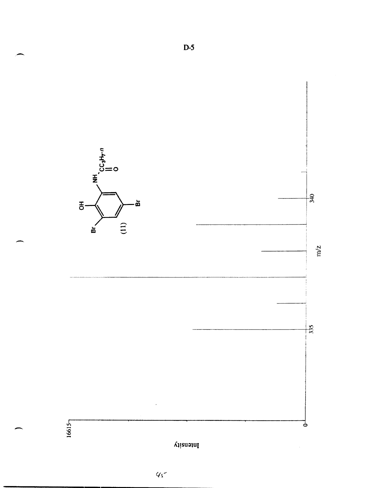

 $4\sqrt{2}$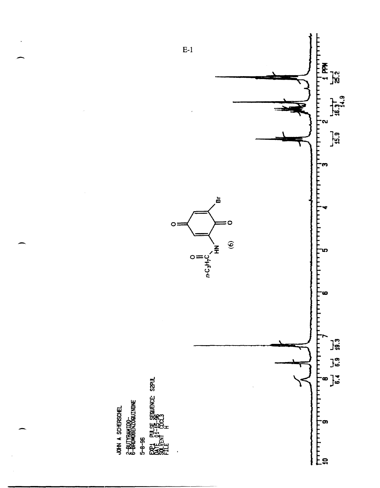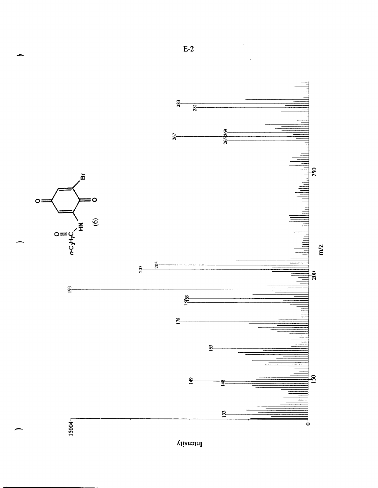

 $\Lambda$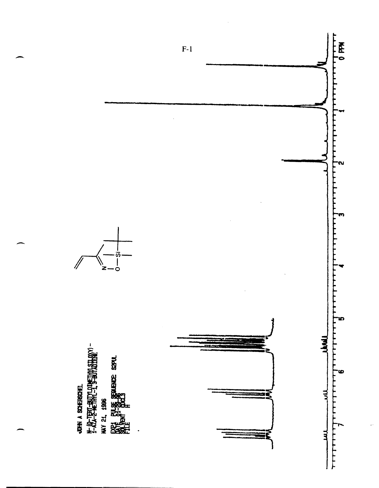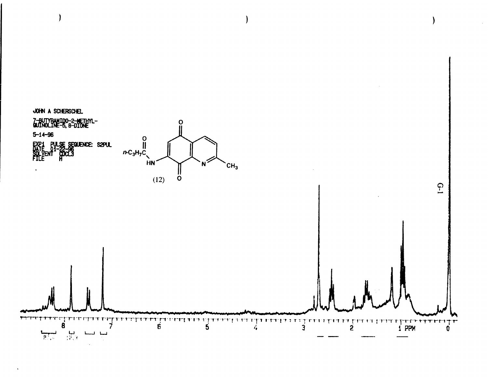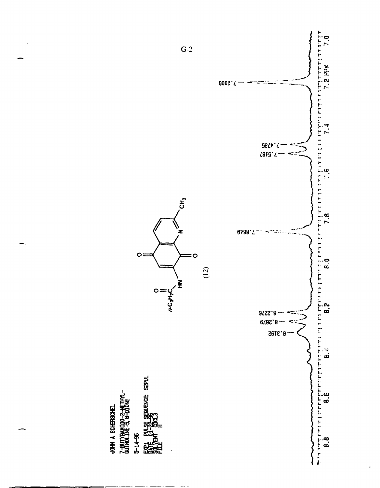